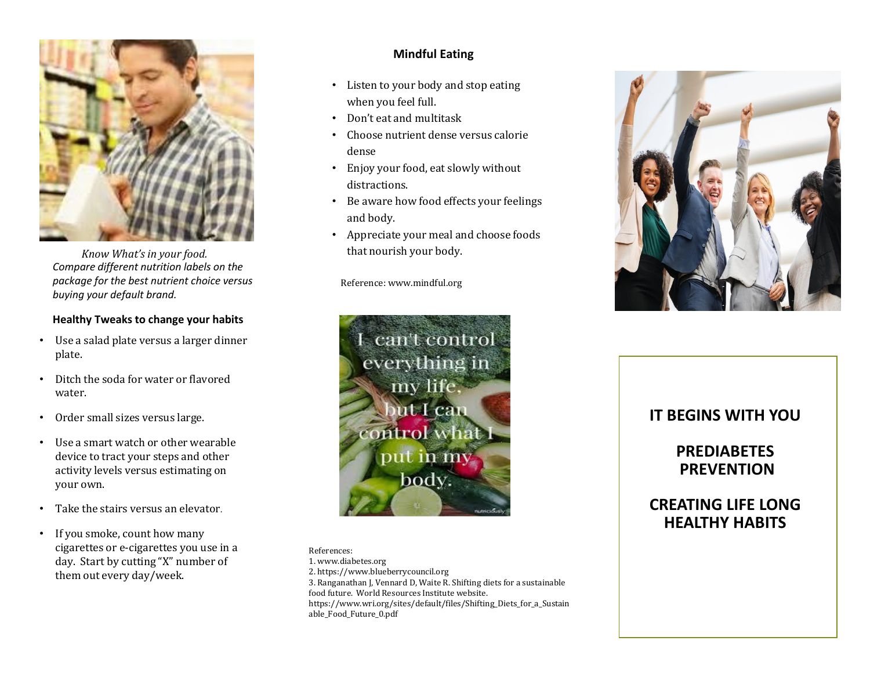

*Know What's in your food. Compare different nutrition labels on the package for the best nutrient choice versus buying your default brand.* 

#### **Healthy Tweaks to change your habits**

- Use a salad plate versus a larger dinner plate.
- Ditch the soda for water or flavored water.
- Order small sizes versus large.
- Use a smart watch or other wearable device to tract your steps and other activity levels versus estimating on your own.
- Take the stairs versus an elevator.
- If you smoke, count how many cigarettes or e-cigarettes you use in a day. Start by cutting "X" number of them out every day/week.

#### **Mindful Eating**

- Listen to your body and stop eating when you feel full.
- Don't eat and multitask
- Choose nutrient dense versus calorie dense
- Enjoy your food, eat slowly without distractions.
- Be aware how food effects your feelings and body.
- Appreciate your meal and choose foods that nourish your body.

Reference: www.mindful.org



References: 1. www.diabetes.org 2. https://www.blueberrycouncil.org 3. Ranganathan J, Vennard D, Waite R. Shifting diets for a sustainable food future. World Resources Institute website. https://www.wri.org/sites/default/files/Shifting\_Diets\_for\_a\_Sustain able\_Food\_Future\_0.pdf



## **IT BEGINS WITH YOU**

# **PREDIABETES PREVENTION**

# **CREATING LIFE LONG HEALTHY HABITS**